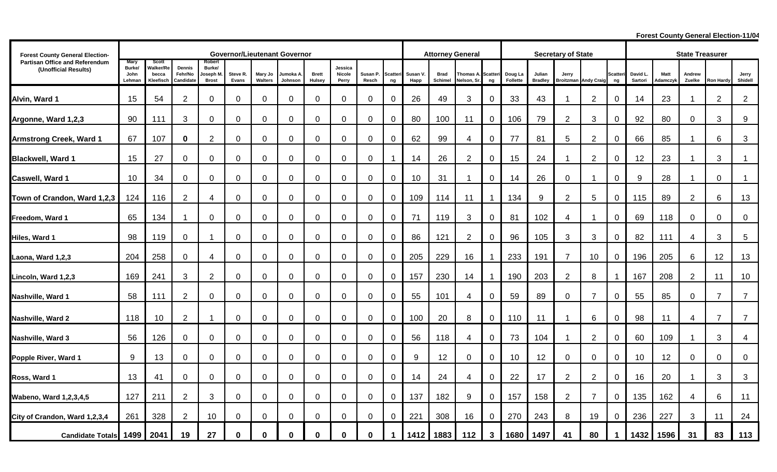**Forest County General Election-11/04** 

| <b>Forest County General Election-</b>                 |                                         | <b>Governor/Lieutenant Governor</b>      |                                |                                              |                   |                    |                      |                        |                            |                   |                       |                 |                        | <b>Attorney General</b> |                       |                     |                          | <b>Secretary of State</b> |                   |                      |                    |                         | <b>State Treasurer</b> |                  |                  |  |  |
|--------------------------------------------------------|-----------------------------------------|------------------------------------------|--------------------------------|----------------------------------------------|-------------------|--------------------|----------------------|------------------------|----------------------------|-------------------|-----------------------|-----------------|------------------------|-------------------------|-----------------------|---------------------|--------------------------|---------------------------|-------------------|----------------------|--------------------|-------------------------|------------------------|------------------|------------------|--|--|
| Partisan Office and Referendum<br>(Unofficial Results) | <b>Mary</b><br>Burke/<br>John<br>Lehman | Scott<br>Valker/Re<br>becca<br>Kleefisch | Dennis<br>Fehr/No<br>Candidate | Robert<br>Burke/<br>loseph M<br><b>Brost</b> | Steve R.<br>Evans | Mary Jo<br>Walters | Jumoka A.<br>Johnson | <b>Brett</b><br>Hulsey | Jessica<br>Nicole<br>Perry | Susan P.<br>Resch | <b>Scatteri</b><br>ng | Susan V<br>Happ | <b>Brad</b><br>Schimel | Thomas A.<br>Nelson, Sr | <b>Scatteri</b><br>ng | Doug La<br>Follette | Julian<br><b>Bradley</b> | Jerry<br><b>Broitzman</b> | <b>Andy Craig</b> | <b>Scatter</b><br>ng | David L<br>Sartori | <b>Matt</b><br>Adamczyk | Andrew<br>Zuelke       | <b>Ron Hardy</b> | Jerry<br>Shidell |  |  |
| Alvin, Ward 1                                          | 15                                      | 54                                       | $\overline{2}$                 | 0                                            | $\overline{0}$    | $\overline{0}$     | 0                    | $\mathbf 0$            | $\mathbf 0$                | $\mathbf 0$       | 0                     | 26              | 49                     | 3                       | $\mathbf 0$           | 33                  | 43                       | -1                        | $\overline{2}$    | 0                    | 14                 | 23                      | $\mathbf{1}$           | $\overline{2}$   | 2                |  |  |
| Argonne, Ward 1,2,3                                    | 90                                      | 111                                      | 3                              | 0                                            | $\mathbf 0$       | $\mathbf 0$        | 0                    | $\mathbf 0$            | $\mathbf 0$                | 0                 | $\overline{0}$        | 80              | 100                    | 11                      | $\mathbf 0$           | 106                 | 79                       | $\overline{2}$            | 3                 | 0                    | 92                 | 80                      | $\mathbf 0$            | 3                | $9\,$            |  |  |
| <b>Armstrong Creek, Ward 1</b>                         | 67                                      | 107                                      | $\bf{0}$                       | $\overline{2}$                               | $\mathbf 0$       | $\mathbf 0$        | 0                    | $\mathbf 0$            | $\mathbf 0$                | $\mathbf 0$       | $\overline{0}$        | 62              | 99                     | 4                       | $\mathbf 0$           | 77                  | 81                       | 5                         | $\overline{2}$    | 0                    | 66                 | 85                      | -1                     | 6                | 3                |  |  |
| <b>Blackwell, Ward 1</b>                               | 15                                      | 27                                       | $\mathbf 0$                    | 0                                            | $\mathbf 0$       | $\mathbf 0$        | 0                    | $\mathbf 0$            | $\mathbf 0$                | 0                 | $\mathbf 1$           | 14              | 26                     | $\overline{2}$          | $\mathbf 0$           | 15                  | 24                       |                           | $\overline{2}$    | 0                    | 12                 | 23                      | $\mathbf 1$            | 3                |                  |  |  |
| Caswell, Ward 1                                        | 10                                      | 34                                       | $\mathbf 0$                    | 0                                            | $\mathbf 0$       | $\mathbf 0$        | 0                    | $\mathbf 0$            | $\mathbf 0$                | $\mathbf 0$       | $\mathbf 0$           | 10              | 31                     |                         | $\mathbf 0$           | 14                  | 26                       | $\mathbf 0$               |                   | 0                    | 9                  | 28                      | $\blacktriangleleft$   | 0                |                  |  |  |
| Town of Crandon, Ward 1,2,3                            | 124                                     | 116                                      | $\overline{2}$                 | 4                                            | $\mathbf 0$       | $\mathbf 0$        | 0                    | $\mathbf 0$            | $\mathbf 0$                | 0                 | 0                     | 109             | 114                    | 11                      |                       | 134                 | 9                        | $\overline{2}$            | 5                 | 0                    | 115                | 89                      | $\overline{2}$         | 6                | 13               |  |  |
| Freedom, Ward 1                                        | 65                                      | 134                                      | -1                             | 0                                            | $\overline{0}$    | $\mathbf 0$        | 0                    | $\mathbf 0$            | $\mathbf 0$                | 0                 | 0                     | 71              | 119                    | 3                       | $\mathbf 0$           | 81                  | 102                      | 4                         |                   | 0                    | 69                 | 118                     | $\mathbf 0$            | 0                | $\pmb{0}$        |  |  |
| Hiles, Ward 1                                          | 98                                      | 119                                      | $\mathbf 0$                    |                                              | $\mathbf 0$       | $\mathbf 0$        | 0                    | $\mathbf 0$            | $\mathbf 0$                | 0                 | 0                     | 86              | 121                    | $\overline{2}$          | $\mathbf 0$           | 96                  | 105                      | $\mathfrak{S}$            | 3                 | 0                    | 82                 | 111                     | 4                      | 3                | $\sqrt{5}$       |  |  |
| Laona, Ward 1,2,3                                      | 204                                     | 258                                      | 0                              | 4                                            | $\overline{0}$    | 0                  | 0                    | $\mathbf 0$            | $\mathbf 0$                | 0                 | $\overline{0}$        | 205             | 229                    | 16                      |                       | 233                 | 191                      | 7                         | 10                | 0                    | 196                | 205                     | 6                      | 12               | 13               |  |  |
| Lincoln, Ward 1,2,3                                    | 169                                     | 241                                      | 3                              | $\overline{2}$                               | $\mathbf 0$       | $\mathbf 0$        | 0                    | $\mathbf 0$            | $\mathbf 0$                | $\mathbf 0$       | $\overline{0}$        | 157             | 230                    | 14                      |                       | 190                 | 203                      | $\overline{2}$            | 8                 |                      | 167                | 208                     | $\overline{2}$         | 11               | 10               |  |  |
| Nashville, Ward 1                                      | 58                                      | 111                                      | $\overline{2}$                 | $\overline{0}$                               | $\mathbf 0$       | $\mathbf 0$        | $\mathbf 0$          | $\mathbf 0$            | $\mathbf 0$                | $\mathbf 0$       | 0                     | 55              | 101                    | 4                       | $\mathbf 0$           | 59                  | 89                       | $\mathbf 0$               | $\overline{7}$    | 0                    | 55                 | 85                      | $\mathbf 0$            | $\overline{7}$   | $\overline{7}$   |  |  |
|                                                        |                                         |                                          |                                |                                              |                   |                    |                      |                        |                            |                   |                       |                 |                        |                         |                       |                     |                          |                           |                   |                      |                    |                         |                        |                  |                  |  |  |
| Nashville, Ward 2                                      | 118                                     | 10                                       | $\overline{2}$                 |                                              | $\mathbf 0$       | $\mathbf 0$        | 0                    | $\mathbf 0$            | $\mathbf 0$                | $\mathbf 0$       | 0                     | 100             | 20                     | 8                       | $\mathbf 0$           | 110                 | 11                       |                           | 6                 | 0                    | 98                 | 11                      | $\overline{4}$         | $\overline{7}$   | $\overline{7}$   |  |  |
| Nashville, Ward 3                                      | 56                                      | 126                                      | 0                              | 0                                            | $\mathbf 0$       | $\mathbf 0$        | 0                    | $\mathbf 0$            | $\mathbf 0$                | $\mathbf 0$       | 0                     | 56              | 118                    | 4                       | $\mathbf 0$           | 73                  | 104                      |                           | 2                 | 0                    | 60                 | 109                     | -1                     | 3                | 4                |  |  |
| Popple River, Ward 1                                   | 9                                       | 13                                       | $\mathbf 0$                    | 0                                            | $\mathbf 0$       | $\mathbf 0$        | 0                    | $\mathbf 0$            | $\mathbf 0$                | $\mathbf 0$       | 0                     | 9               | 12                     | 0                       | $\mathbf 0$           | 10                  | 12                       | 0                         | $\mathbf 0$       | 0                    | 10                 | 12                      | $\mathbf 0$            | 0                | $\overline{0}$   |  |  |
| Ross, Ward 1                                           | 13                                      | 41                                       | $\mathbf 0$                    | 0                                            | $\mathbf 0$       | $\mathbf 0$        | 0                    | $\mathbf 0$            | $\mathbf 0$                | 0                 | 0                     | 14              | 24                     | 4                       | $\mathbf 0$           | 22                  | 17                       | $\overline{2}$            | $\overline{2}$    | 0                    | 16                 | 20                      | -1                     | 3                | 3                |  |  |
| <b>Wabeno, Ward 1,2,3,4,5</b>                          | 127                                     | 211                                      | $\overline{2}$                 | 3                                            | $\mathbf 0$       | $\mathbf 0$        | 0                    | $\mathbf 0$            | $\mathbf 0$                | 0                 | 0                     | 137             | 182                    | 9                       | $\mathbf 0$           | 157                 | 158                      | $\mathbf{2}$              | $\overline{7}$    | $\Omega$             | 135                | 162                     | 4                      | 6                | 11               |  |  |
| City of Crandon, Ward 1,2,3,4                          | 261                                     | 328                                      | $\overline{2}$                 | 10 <sup>°</sup>                              | 0                 | $\Omega$           | 0                    | $\mathbf 0$            | $\mathbf 0$                | 0                 | $\mathbf 0$           | 221             | 308                    | 16                      | $\Omega$              | 270                 | 243                      | 8                         | 19                | 0                    | 236                | 227                     | 3                      | 11               | 24               |  |  |
| <b>Candidate Totals</b>                                | 1499                                    | 2041                                     | 19                             | 27                                           | $\Omega$          | $\bf{0}$           | $\bf{0}$             | $\Omega$               | $\bf{0}$                   | 0                 | 1                     | 1412            | 1883                   | 112                     | $\mathbf{3}$          | 1680                | 1497                     | 41                        | 80                | 1                    | 1432               | 1596                    | 31                     | 83               | 113              |  |  |